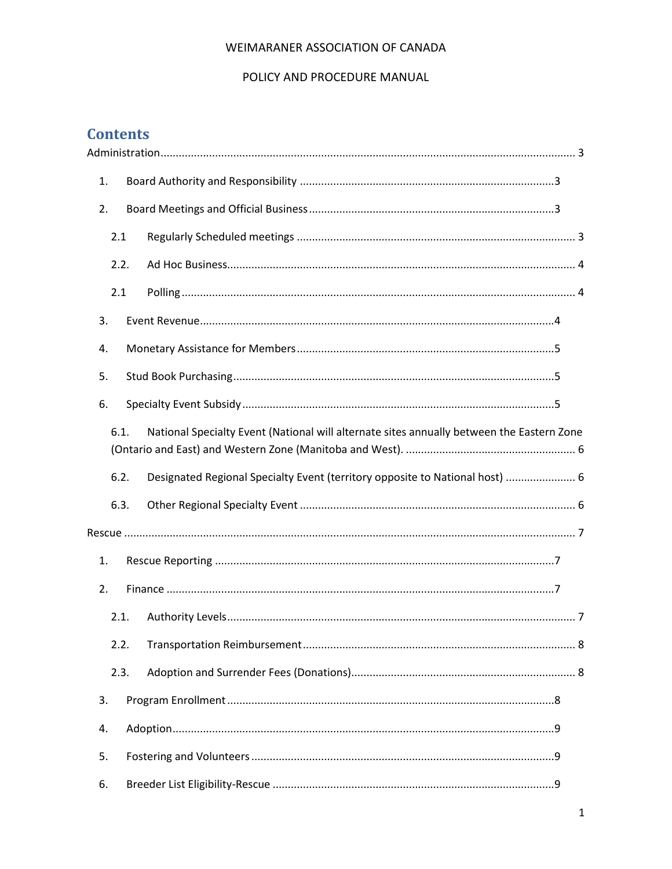#### POLICY AND PROCEDURE MANUAL

# **Contents**

| 1. |      |                                                                                           |  |
|----|------|-------------------------------------------------------------------------------------------|--|
| 2. |      |                                                                                           |  |
|    | 2.1  |                                                                                           |  |
|    | 2.2. |                                                                                           |  |
|    | 2.1  |                                                                                           |  |
| 3. |      |                                                                                           |  |
| 4. |      |                                                                                           |  |
| 5. |      |                                                                                           |  |
| 6. |      |                                                                                           |  |
|    | 6.1. | National Specialty Event (National will alternate sites annually between the Eastern Zone |  |
|    |      |                                                                                           |  |
|    | 6.2. | Designated Regional Specialty Event (territory opposite to National host)  6              |  |
|    | 6.3. |                                                                                           |  |
|    |      |                                                                                           |  |
| 1. |      |                                                                                           |  |
| 2. |      |                                                                                           |  |
|    | 2.1. |                                                                                           |  |
|    | 2.2. |                                                                                           |  |
|    | 2.3. |                                                                                           |  |
| 3. |      |                                                                                           |  |
| 4. |      |                                                                                           |  |
| 5. |      |                                                                                           |  |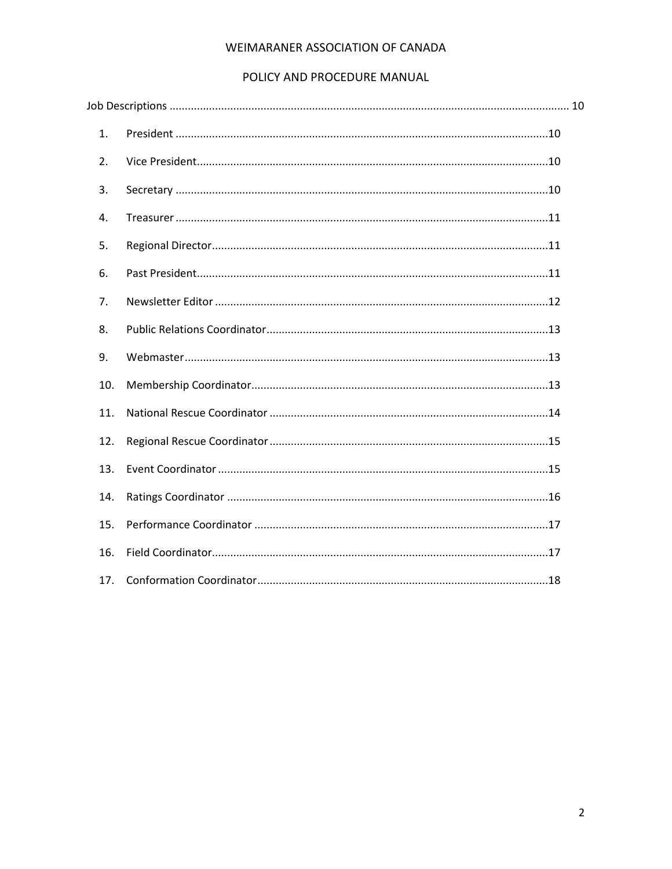#### POLICY AND PROCEDURE MANUAL

| 1.  |  |  |
|-----|--|--|
| 2.  |  |  |
| 3.  |  |  |
| 4.  |  |  |
| 5.  |  |  |
| 6.  |  |  |
| 7.  |  |  |
| 8.  |  |  |
| 9.  |  |  |
| 10. |  |  |
| 11. |  |  |
| 12. |  |  |
| 13. |  |  |
| 14. |  |  |
| 15. |  |  |
| 16. |  |  |
| 17. |  |  |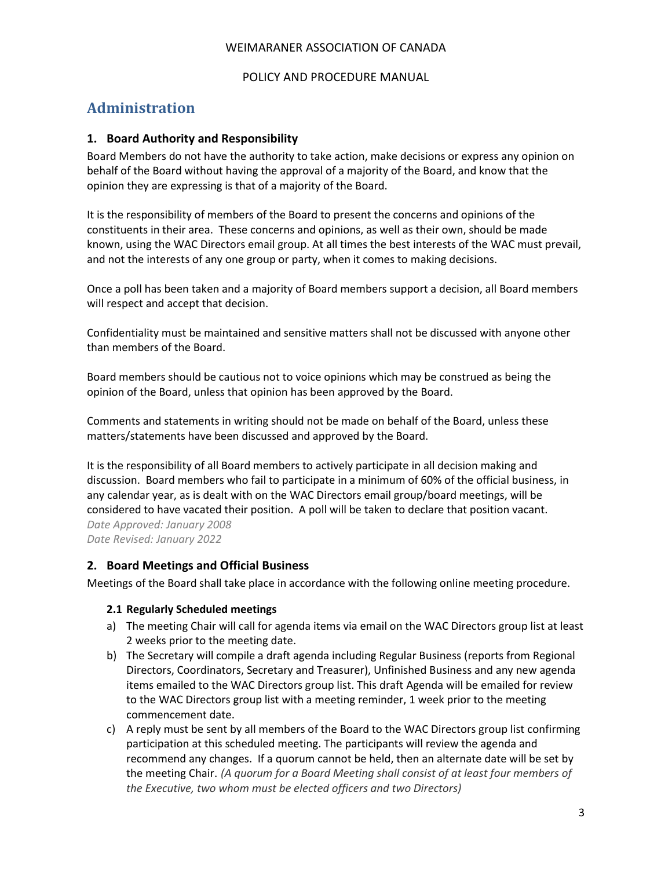#### POLICY AND PROCEDURE MANUAL

# <span id="page-2-0"></span>**Administration**

#### <span id="page-2-1"></span>**1. Board Authority and Responsibility**

Board Members do not have the authority to take action, make decisions or express any opinion on behalf of the Board without having the approval of a majority of the Board, and know that the opinion they are expressing is that of a majority of the Board.

It is the responsibility of members of the Board to present the concerns and opinions of the constituents in their area. These concerns and opinions, as well as their own, should be made known, using the WAC Directors email group. At all times the best interests of the WAC must prevail, and not the interests of any one group or party, when it comes to making decisions.

Once a poll has been taken and a majority of Board members support a decision, all Board members will respect and accept that decision.

Confidentiality must be maintained and sensitive matters shall not be discussed with anyone other than members of the Board.

Board members should be cautious not to voice opinions which may be construed as being the opinion of the Board, unless that opinion has been approved by the Board.

Comments and statements in writing should not be made on behalf of the Board, unless these matters/statements have been discussed and approved by the Board.

It is the responsibility of all Board members to actively participate in all decision making and discussion. Board members who fail to participate in a minimum of 60% of the official business, in any calendar year, as is dealt with on the WAC Directors email group/board meetings, will be considered to have vacated their position. A poll will be taken to declare that position vacant. *Date Approved: January 2008 Date Revised: January 2022*

#### <span id="page-2-2"></span>**2. Board Meetings and Official Business**

<span id="page-2-3"></span>Meetings of the Board shall take place in accordance with the following online meeting procedure.

#### **2.1 Regularly Scheduled meetings**

- a) The meeting Chair will call for agenda items via email on the WAC Directors group list at least 2 weeks prior to the meeting date.
- b) The Secretary will compile a draft agenda including Regular Business (reports from Regional Directors, Coordinators, Secretary and Treasurer), Unfinished Business and any new agenda items emailed to the WAC Directors group list. This draft Agenda will be emailed for review to the WAC Directors group list with a meeting reminder, 1 week prior to the meeting commencement date.
- c) A reply must be sent by all members of the Board to the WAC Directors group list confirming participation at this scheduled meeting. The participants will review the agenda and recommend any changes. If a quorum cannot be held, then an alternate date will be set by the meeting Chair. *(A quorum for a Board Meeting shall consist of at least four members of the Executive, two whom must be elected officers and two Directors)*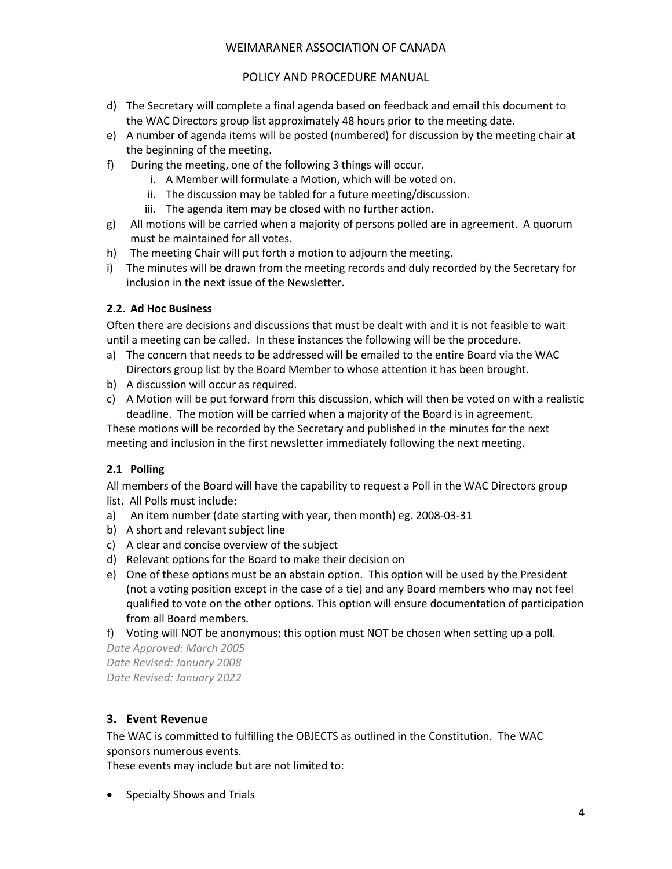#### POLICY AND PROCEDURE MANUAL

- d) The Secretary will complete a final agenda based on feedback and email this document to the WAC Directors group list approximately 48 hours prior to the meeting date.
- e) A number of agenda items will be posted (numbered) for discussion by the meeting chair at the beginning of the meeting.
- f) During the meeting, one of the following 3 things will occur.
	- i. A Member will formulate a Motion, which will be voted on.
	- ii. The discussion may be tabled for a future meeting/discussion.
	- iii. The agenda item may be closed with no further action.
- g) All motions will be carried when a majority of persons polled are in agreement. A quorum must be maintained for all votes.
- h) The meeting Chair will put forth a motion to adjourn the meeting.
- i) The minutes will be drawn from the meeting records and duly recorded by the Secretary for inclusion in the next issue of the Newsletter.

# <span id="page-3-0"></span>**2.2. Ad Hoc Business**

Often there are decisions and discussions that must be dealt with and it is not feasible to wait until a meeting can be called. In these instances the following will be the procedure.

- a) The concern that needs to be addressed will be emailed to the entire Board via the WAC Directors group list by the Board Member to whose attention it has been brought.
- b) A discussion will occur as required.
- c) A Motion will be put forward from this discussion, which will then be voted on with a realistic deadline. The motion will be carried when a majority of the Board is in agreement.

These motions will be recorded by the Secretary and published in the minutes for the next meeting and inclusion in the first newsletter immediately following the next meeting.

# <span id="page-3-1"></span>**2.1 Polling**

All members of the Board will have the capability to request a Poll in the WAC Directors group list. All Polls must include:

- a) An item number (date starting with year, then month) eg. 2008-03-31
- b) A short and relevant subject line
- c) A clear and concise overview of the subject
- d) Relevant options for the Board to make their decision on
- e) One of these options must be an abstain option. This option will be used by the President (not a voting position except in the case of a tie) and any Board members who may not feel qualified to vote on the other options. This option will ensure documentation of participation from all Board members.
- f) Voting will NOT be anonymous; this option must NOT be chosen when setting up a poll.

*Date Approved: March 2005 Date Revised: January 2008 Date Revised: January 2022*

# <span id="page-3-2"></span>**3. Event Revenue**

The WAC is committed to fulfilling the OBJECTS as outlined in the Constitution. The WAC sponsors numerous events.

These events may include but are not limited to:

• Specialty Shows and Trials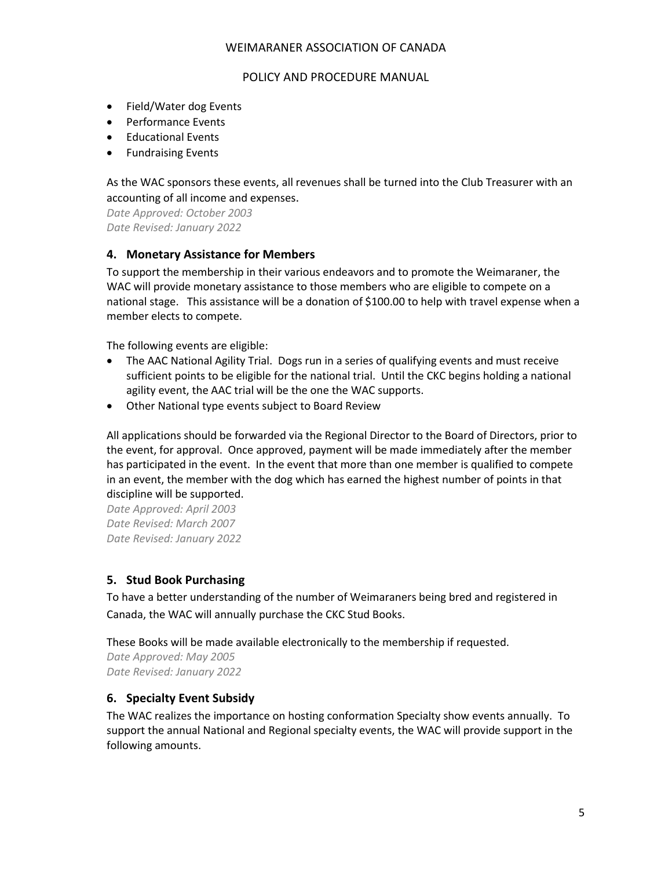#### POLICY AND PROCEDURE MANUAL

- Field/Water dog Events
- Performance Events
- Educational Events
- Fundraising Events

As the WAC sponsors these events, all revenues shall be turned into the Club Treasurer with an accounting of all income and expenses.

*Date Approved: October 2003 Date Revised: January 2022*

#### <span id="page-4-0"></span>**4. Monetary Assistance for Members**

To support the membership in their various endeavors and to promote the Weimaraner, the WAC will provide monetary assistance to those members who are eligible to compete on a national stage. This assistance will be a donation of \$100.00 to help with travel expense when a member elects to compete.

The following events are eligible:

- The AAC National Agility Trial. Dogs run in a series of qualifying events and must receive sufficient points to be eligible for the national trial. Until the CKC begins holding a national agility event, the AAC trial will be the one the WAC supports.
- Other National type events subject to Board Review

All applications should be forwarded via the Regional Director to the Board of Directors, prior to the event, for approval. Once approved, payment will be made immediately after the member has participated in the event. In the event that more than one member is qualified to compete in an event, the member with the dog which has earned the highest number of points in that discipline will be supported.

*Date Approved: April 2003 Date Revised: March 2007 Date Revised: January 2022*

# <span id="page-4-1"></span>**5. Stud Book Purchasing**

To have a better understanding of the number of Weimaraners being bred and registered in Canada, the WAC will annually purchase the CKC Stud Books.

These Books will be made available electronically to the membership if requested.

*Date Approved: May 2005 Date Revised: January 2022*

# <span id="page-4-2"></span>**6. Specialty Event Subsidy**

The WAC realizes the importance on hosting conformation Specialty show events annually. To support the annual National and Regional specialty events, the WAC will provide support in the following amounts.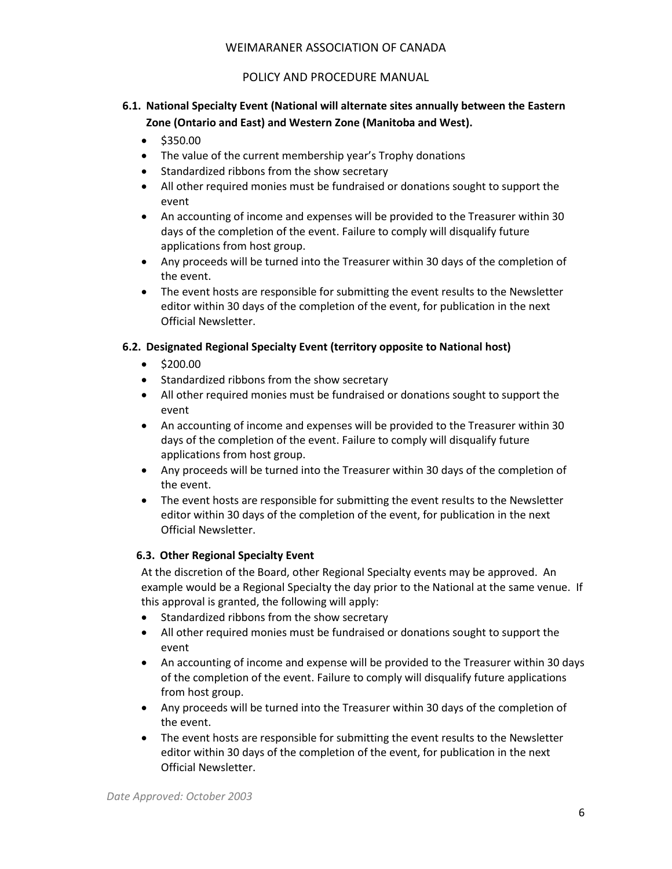# POLICY AND PROCEDURE MANUAL

# <span id="page-5-0"></span>**6.1. National Specialty Event (National will alternate sites annually between the Eastern Zone (Ontario and East) and Western Zone (Manitoba and West).**

- \$350.00
- The value of the current membership year's Trophy donations
- Standardized ribbons from the show secretary
- All other required monies must be fundraised or donations sought to support the event
- An accounting of income and expenses will be provided to the Treasurer within 30 days of the completion of the event. Failure to comply will disqualify future applications from host group.
- Any proceeds will be turned into the Treasurer within 30 days of the completion of the event.
- The event hosts are responsible for submitting the event results to the Newsletter editor within 30 days of the completion of the event, for publication in the next Official Newsletter.

# <span id="page-5-1"></span>**6.2. Designated Regional Specialty Event (territory opposite to National host)**

- \$200.00
- Standardized ribbons from the show secretary
- All other required monies must be fundraised or donations sought to support the event
- An accounting of income and expenses will be provided to the Treasurer within 30 days of the completion of the event. Failure to comply will disqualify future applications from host group.
- Any proceeds will be turned into the Treasurer within 30 days of the completion of the event.
- The event hosts are responsible for submitting the event results to the Newsletter editor within 30 days of the completion of the event, for publication in the next Official Newsletter.

# <span id="page-5-2"></span>**6.3. Other Regional Specialty Event**

At the discretion of the Board, other Regional Specialty events may be approved. An example would be a Regional Specialty the day prior to the National at the same venue. If this approval is granted, the following will apply:

- Standardized ribbons from the show secretary
- All other required monies must be fundraised or donations sought to support the event
- An accounting of income and expense will be provided to the Treasurer within 30 days of the completion of the event. Failure to comply will disqualify future applications from host group.
- Any proceeds will be turned into the Treasurer within 30 days of the completion of the event.
- The event hosts are responsible for submitting the event results to the Newsletter editor within 30 days of the completion of the event, for publication in the next Official Newsletter.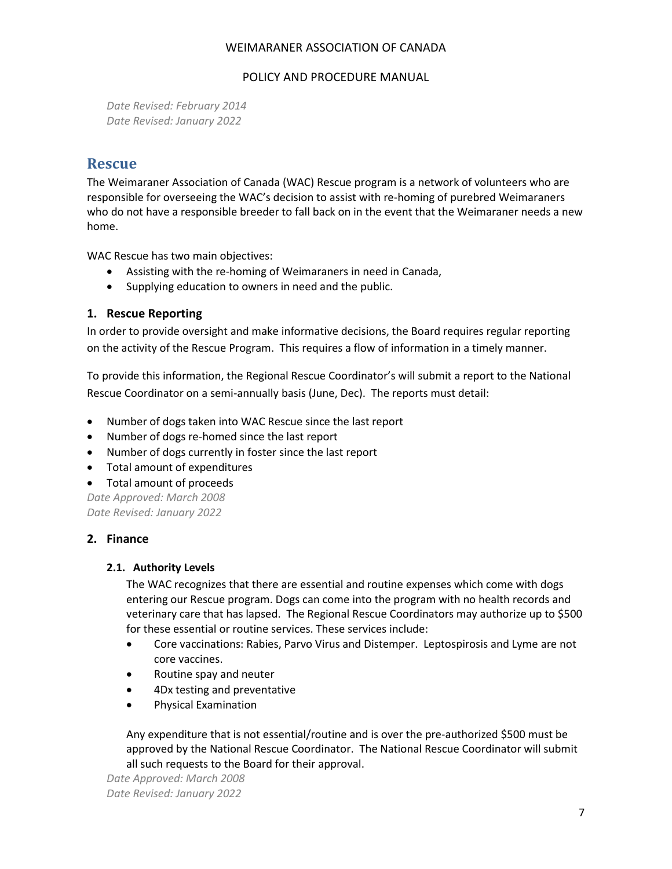#### POLICY AND PROCEDURE MANUAL

*Date Revised: February 2014 Date Revised: January 2022*

# <span id="page-6-0"></span>**Rescue**

The Weimaraner Association of Canada (WAC) Rescue program is a network of volunteers who are responsible for overseeing the WAC's decision to assist with re-homing of purebred Weimaraners who do not have a responsible breeder to fall back on in the event that the Weimaraner needs a new home.

WAC Rescue has two main objectives:

- Assisting with the re-homing of Weimaraners in need in Canada,
- Supplying education to owners in need and the public.

#### <span id="page-6-1"></span>**1. Rescue Reporting**

In order to provide oversight and make informative decisions, the Board requires regular reporting on the activity of the Rescue Program. This requires a flow of information in a timely manner.

To provide this information, the Regional Rescue Coordinator's will submit a report to the National Rescue Coordinator on a semi-annually basis (June, Dec). The reports must detail:

- Number of dogs taken into WAC Rescue since the last report
- Number of dogs re-homed since the last report
- Number of dogs currently in foster since the last report
- Total amount of expenditures
- Total amount of proceeds

*Date Approved: March 2008 Date Revised: January 2022*

#### <span id="page-6-2"></span>**2. Finance**

#### <span id="page-6-3"></span>**2.1. Authority Levels**

The WAC recognizes that there are essential and routine expenses which come with dogs entering our Rescue program. Dogs can come into the program with no health records and veterinary care that has lapsed. The Regional Rescue Coordinators may authorize up to \$500 for these essential or routine services. These services include:

- Core vaccinations: Rabies, Parvo Virus and Distemper. Leptospirosis and Lyme are not core vaccines.
- Routine spay and neuter
- 4Dx testing and preventative
- Physical Examination

Any expenditure that is not essential/routine and is over the pre-authorized \$500 must be approved by the National Rescue Coordinator. The National Rescue Coordinator will submit all such requests to the Board for their approval.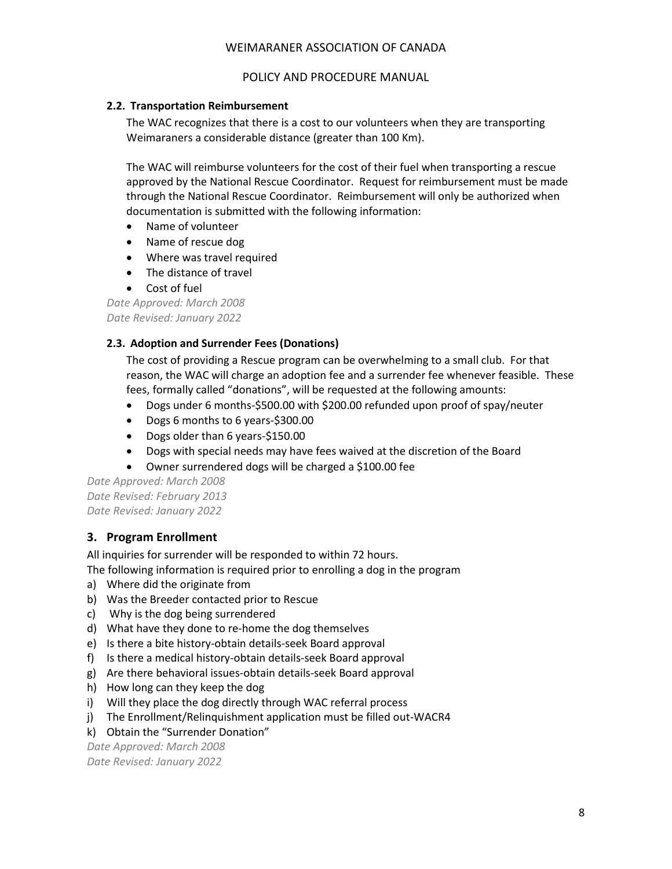#### POLICY AND PROCEDURE MANUAL

#### <span id="page-7-0"></span>**2.2. Transportation Reimbursement**

The WAC recognizes that there is a cost to our volunteers when they are transporting Weimaraners a considerable distance (greater than 100 Km).

The WAC will reimburse volunteers for the cost of their fuel when transporting a rescue approved by the National Rescue Coordinator. Request for reimbursement must be made through the National Rescue Coordinator. Reimbursement will only be authorized when documentation is submitted with the following information:

- Name of volunteer
- Name of rescue dog
- Where was travel required
- The distance of travel
- Cost of fuel

*Date Approved: March 2008 Date Revised: January 2022*

#### <span id="page-7-1"></span>**2.3. Adoption and Surrender Fees (Donations)**

The cost of providing a Rescue program can be overwhelming to a small club. For that reason, the WAC will charge an adoption fee and a surrender fee whenever feasible. These fees, formally called "donations", will be requested at the following amounts:

- Dogs under 6 months-\$500.00 with \$200.00 refunded upon proof of spay/neuter
- Dogs 6 months to 6 years-\$300.00
- Dogs older than 6 years-\$150.00
- Dogs with special needs may have fees waived at the discretion of the Board
- Owner surrendered dogs will be charged a \$100.00 fee

*Date Approved: March 2008 Date Revised: February 2013 Date Revised: January 2022*

#### <span id="page-7-2"></span>**3. Program Enrollment**

All inquiries for surrender will be responded to within 72 hours.

The following information is required prior to enrolling a dog in the program

- a) Where did the originate from
- b) Was the Breeder contacted prior to Rescue
- c) Why is the dog being surrendered
- d) What have they done to re-home the dog themselves
- e) Is there a bite history-obtain details-seek Board approval
- f) Is there a medical history-obtain details-seek Board approval
- g) Are there behavioral issues-obtain details-seek Board approval
- h) How long can they keep the dog
- i) Will they place the dog directly through WAC referral process
- j) The Enrollment/Relinquishment application must be filled out-WACR4
- k) Obtain the "Surrender Donation"

*Date Approved: March 2008 Date Revised: January 2022*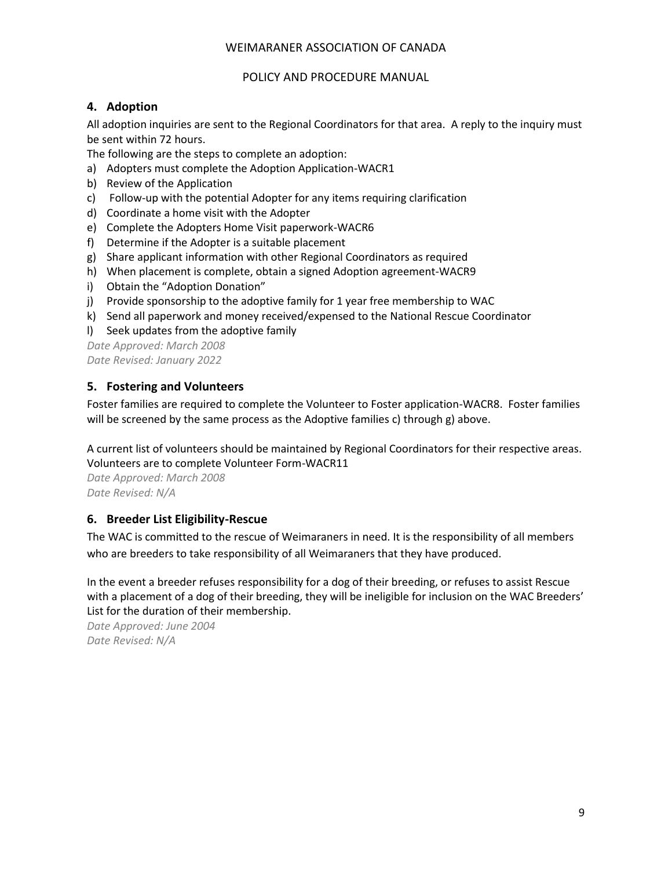#### POLICY AND PROCEDURE MANUAL

### <span id="page-8-0"></span>**4. Adoption**

All adoption inquiries are sent to the Regional Coordinators for that area. A reply to the inquiry must be sent within 72 hours.

The following are the steps to complete an adoption:

- a) Adopters must complete the Adoption Application-WACR1
- b) Review of the Application
- c) Follow-up with the potential Adopter for any items requiring clarification
- d) Coordinate a home visit with the Adopter
- e) Complete the Adopters Home Visit paperwork-WACR6
- f) Determine if the Adopter is a suitable placement
- g) Share applicant information with other Regional Coordinators as required
- h) When placement is complete, obtain a signed Adoption agreement-WACR9
- i) Obtain the "Adoption Donation"
- j) Provide sponsorship to the adoptive family for 1 year free membership to WAC
- k) Send all paperwork and money received/expensed to the National Rescue Coordinator
- l) Seek updates from the adoptive family

*Date Approved: March 2008 Date Revised: January 2022*

# <span id="page-8-1"></span>**5. Fostering and Volunteers**

Foster families are required to complete the Volunteer to Foster application-WACR8. Foster families will be screened by the same process as the Adoptive families c) through g) above.

A current list of volunteers should be maintained by Regional Coordinators for their respective areas. Volunteers are to complete Volunteer Form-WACR11

*Date Approved: March 2008 Date Revised: N/A*

# <span id="page-8-2"></span>**6. Breeder List Eligibility-Rescue**

The WAC is committed to the rescue of Weimaraners in need. It is the responsibility of all members who are breeders to take responsibility of all Weimaraners that they have produced.

In the event a breeder refuses responsibility for a dog of their breeding, or refuses to assist Rescue with a placement of a dog of their breeding, they will be ineligible for inclusion on the WAC Breeders' List for the duration of their membership.

*Date Approved: June 2004 Date Revised: N/A*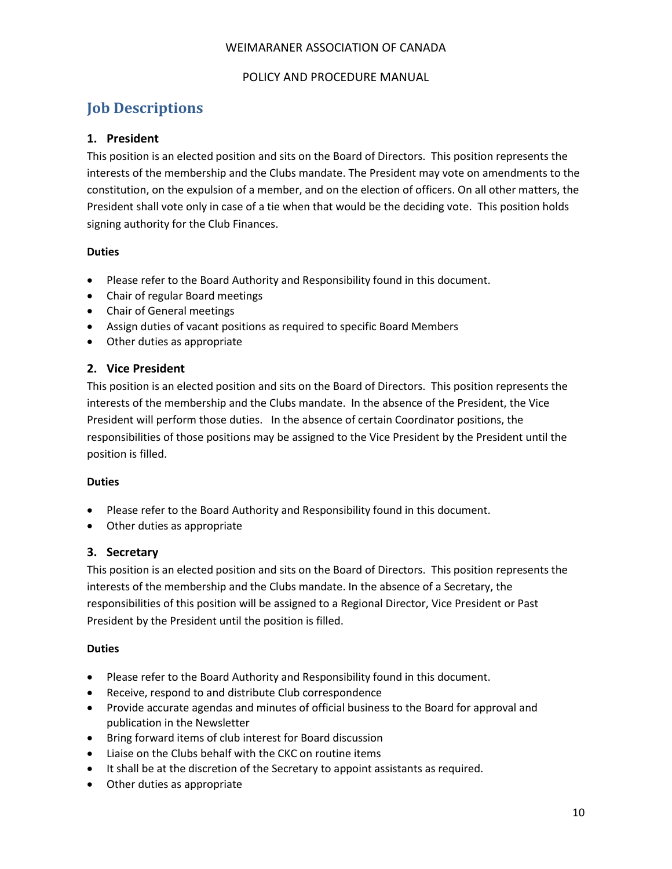#### POLICY AND PROCEDURE MANUAL

# <span id="page-9-0"></span>**Job Descriptions**

#### <span id="page-9-1"></span>**1. President**

This position is an elected position and sits on the Board of Directors. This position represents the interests of the membership and the Clubs mandate. The President may vote on amendments to the constitution, on the expulsion of a member, and on the election of officers. On all other matters, the President shall vote only in case of a tie when that would be the deciding vote. This position holds signing authority for the Club Finances.

#### **Duties**

- Please refer to the Board Authority and Responsibility found in this document.
- Chair of regular Board meetings
- Chair of General meetings
- Assign duties of vacant positions as required to specific Board Members
- Other duties as appropriate

# <span id="page-9-2"></span>**2. Vice President**

This position is an elected position and sits on the Board of Directors. This position represents the interests of the membership and the Clubs mandate. In the absence of the President, the Vice President will perform those duties. In the absence of certain Coordinator positions, the responsibilities of those positions may be assigned to the Vice President by the President until the position is filled.

#### **Duties**

- Please refer to the Board Authority and Responsibility found in this document.
- <span id="page-9-3"></span>• Other duties as appropriate

#### **3. Secretary**

This position is an elected position and sits on the Board of Directors. This position represents the interests of the membership and the Clubs mandate. In the absence of a Secretary, the responsibilities of this position will be assigned to a Regional Director, Vice President or Past President by the President until the position is filled.

#### **Duties**

- Please refer to the Board Authority and Responsibility found in this document.
- Receive, respond to and distribute Club correspondence
- Provide accurate agendas and minutes of official business to the Board for approval and publication in the Newsletter
- Bring forward items of club interest for Board discussion
- Liaise on the Clubs behalf with the CKC on routine items
- It shall be at the discretion of the Secretary to appoint assistants as required.
- Other duties as appropriate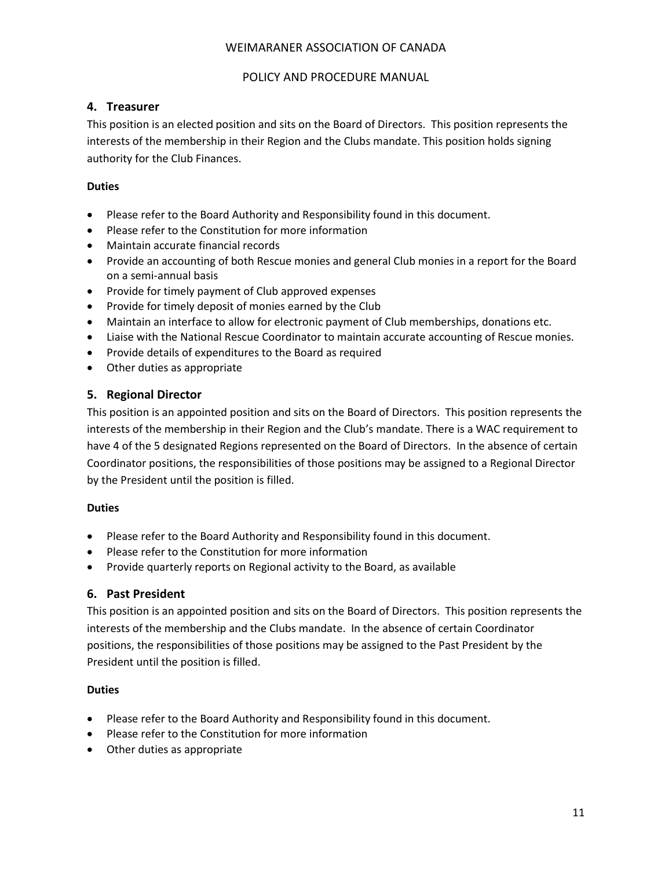#### POLICY AND PROCEDURE MANUAL

### <span id="page-10-0"></span>**4. Treasurer**

This position is an elected position and sits on the Board of Directors. This position represents the interests of the membership in their Region and the Clubs mandate. This position holds signing authority for the Club Finances.

#### **Duties**

- Please refer to the Board Authority and Responsibility found in this document.
- Please refer to the Constitution for more information
- Maintain accurate financial records
- Provide an accounting of both Rescue monies and general Club monies in a report for the Board on a semi-annual basis
- Provide for timely payment of Club approved expenses
- Provide for timely deposit of monies earned by the Club
- Maintain an interface to allow for electronic payment of Club memberships, donations etc.
- Liaise with the National Rescue Coordinator to maintain accurate accounting of Rescue monies.
- Provide details of expenditures to the Board as required
- <span id="page-10-1"></span>• Other duties as appropriate

# **5. Regional Director**

This position is an appointed position and sits on the Board of Directors. This position represents the interests of the membership in their Region and the Club's mandate. There is a WAC requirement to have 4 of the 5 designated Regions represented on the Board of Directors. In the absence of certain Coordinator positions, the responsibilities of those positions may be assigned to a Regional Director by the President until the position is filled.

#### **Duties**

- Please refer to the Board Authority and Responsibility found in this document.
- Please refer to the Constitution for more information
- Provide quarterly reports on Regional activity to the Board, as available

#### <span id="page-10-2"></span>**6. Past President**

This position is an appointed position and sits on the Board of Directors. This position represents the interests of the membership and the Clubs mandate. In the absence of certain Coordinator positions, the responsibilities of those positions may be assigned to the Past President by the President until the position is filled.

# **Duties**

- Please refer to the Board Authority and Responsibility found in this document.
- Please refer to the Constitution for more information
- Other duties as appropriate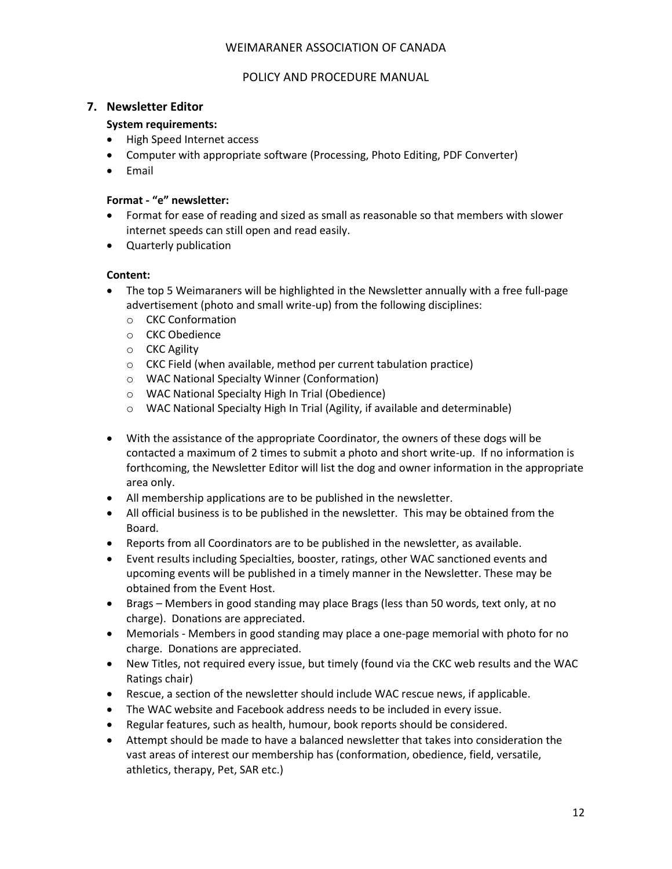#### POLICY AND PROCEDURE MANUAL

#### <span id="page-11-0"></span>**7. Newsletter Editor**

#### **System requirements:**

- High Speed Internet access
- Computer with appropriate software (Processing, Photo Editing, PDF Converter)
- Email

#### **Format - "e" newsletter:**

- Format for ease of reading and sized as small as reasonable so that members with slower internet speeds can still open and read easily.
- Quarterly publication

#### **Content:**

- The top 5 Weimaraners will be highlighted in the Newsletter annually with a free full-page advertisement (photo and small write-up) from the following disciplines:
	- o CKC Conformation
	- o CKC Obedience
	- o CKC Agility
	- o CKC Field (when available, method per current tabulation practice)
	- o WAC National Specialty Winner (Conformation)
	- o WAC National Specialty High In Trial (Obedience)
	- o WAC National Specialty High In Trial (Agility, if available and determinable)
- With the assistance of the appropriate Coordinator, the owners of these dogs will be contacted a maximum of 2 times to submit a photo and short write-up. If no information is forthcoming, the Newsletter Editor will list the dog and owner information in the appropriate area only.
- All membership applications are to be published in the newsletter.
- All official business is to be published in the newsletter. This may be obtained from the Board.
- Reports from all Coordinators are to be published in the newsletter, as available.
- Event results including Specialties, booster, ratings, other WAC sanctioned events and upcoming events will be published in a timely manner in the Newsletter. These may be obtained from the Event Host.
- Brags Members in good standing may place Brags (less than 50 words, text only, at no charge). Donations are appreciated.
- Memorials Members in good standing may place a one-page memorial with photo for no charge. Donations are appreciated.
- New Titles, not required every issue, but timely (found via the CKC web results and the WAC Ratings chair)
- Rescue, a section of the newsletter should include WAC rescue news, if applicable.
- The WAC website and Facebook address needs to be included in every issue.
- Regular features, such as health, humour, book reports should be considered.
- Attempt should be made to have a balanced newsletter that takes into consideration the vast areas of interest our membership has (conformation, obedience, field, versatile, athletics, therapy, Pet, SAR etc.)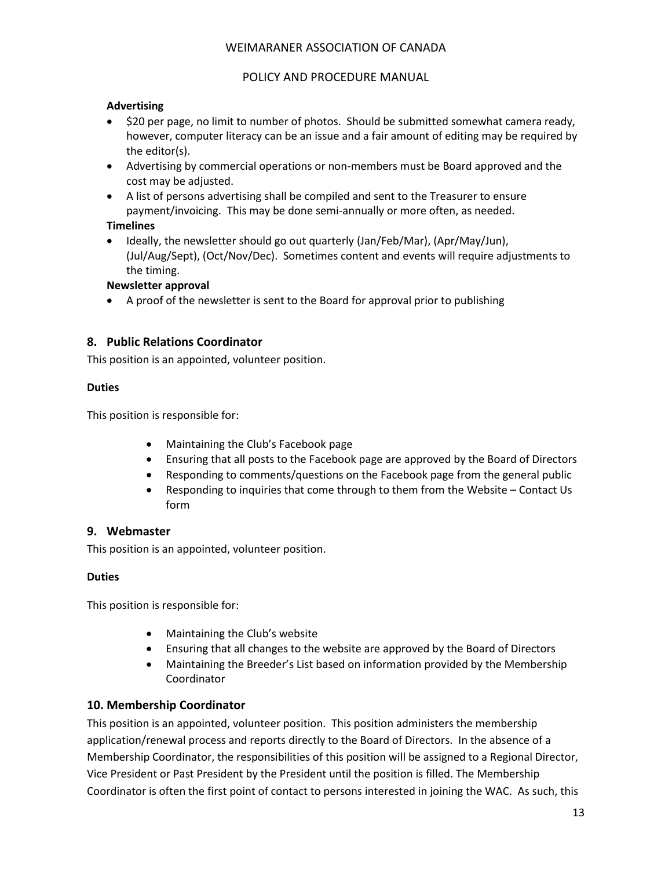#### POLICY AND PROCEDURE MANUAL

### **Advertising**

- \$20 per page, no limit to number of photos. Should be submitted somewhat camera ready, however, computer literacy can be an issue and a fair amount of editing may be required by the editor(s).
- Advertising by commercial operations or non-members must be Board approved and the cost may be adjusted.
- A list of persons advertising shall be compiled and sent to the Treasurer to ensure payment/invoicing. This may be done semi-annually or more often, as needed.

#### **Timelines**

• Ideally, the newsletter should go out quarterly (Jan/Feb/Mar), (Apr/May/Jun), (Jul/Aug/Sept), (Oct/Nov/Dec). Sometimes content and events will require adjustments to the timing.

#### **Newsletter approval**

• A proof of the newsletter is sent to the Board for approval prior to publishing

# <span id="page-12-0"></span>**8. Public Relations Coordinator**

This position is an appointed, volunteer position.

#### **Duties**

This position is responsible for:

- Maintaining the Club's Facebook page
- Ensuring that all posts to the Facebook page are approved by the Board of Directors
- Responding to comments/questions on the Facebook page from the general public
- Responding to inquiries that come through to them from the Website Contact Us form

# <span id="page-12-1"></span>**9. Webmaster**

This position is an appointed, volunteer position.

# **Duties**

This position is responsible for:

- Maintaining the Club's website
- Ensuring that all changes to the website are approved by the Board of Directors
- Maintaining the Breeder's List based on information provided by the Membership Coordinator

# <span id="page-12-2"></span>**10. Membership Coordinator**

This position is an appointed, volunteer position. This position administers the membership application/renewal process and reports directly to the Board of Directors. In the absence of a Membership Coordinator, the responsibilities of this position will be assigned to a Regional Director, Vice President or Past President by the President until the position is filled. The Membership Coordinator is often the first point of contact to persons interested in joining the WAC. As such, this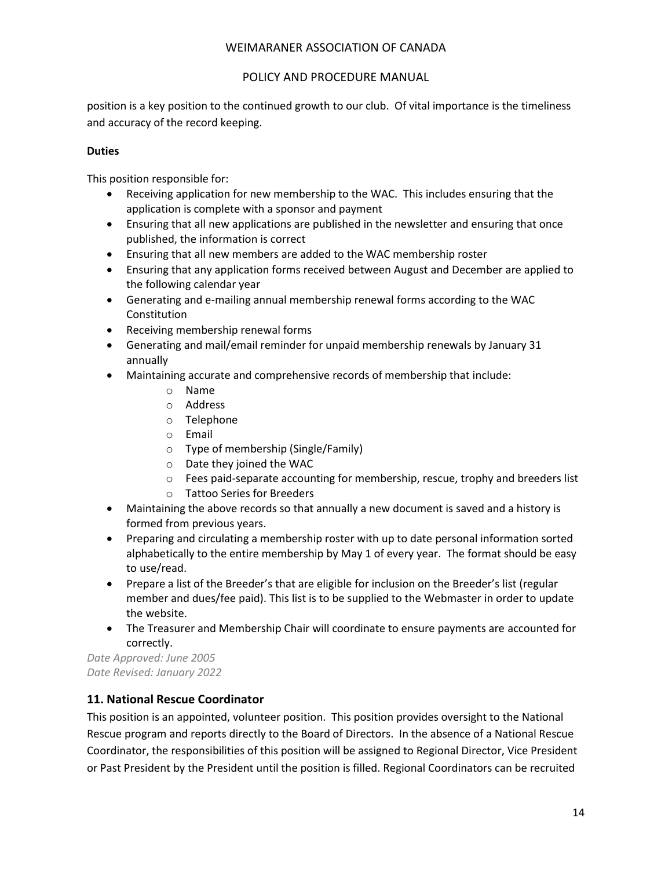### POLICY AND PROCEDURE MANUAL

position is a key position to the continued growth to our club. Of vital importance is the timeliness and accuracy of the record keeping.

### **Duties**

This position responsible for:

- Receiving application for new membership to the WAC. This includes ensuring that the application is complete with a sponsor and payment
- Ensuring that all new applications are published in the newsletter and ensuring that once published, the information is correct
- Ensuring that all new members are added to the WAC membership roster
- Ensuring that any application forms received between August and December are applied to the following calendar year
- Generating and e-mailing annual membership renewal forms according to the WAC Constitution
- Receiving membership renewal forms
- Generating and mail/email reminder for unpaid membership renewals by January 31 annually
- Maintaining accurate and comprehensive records of membership that include:
	- o Name
	- o Address
	- o Telephone
	- o Email
	- o Type of membership (Single/Family)
	- o Date they joined the WAC
	- $\circ$  Fees paid-separate accounting for membership, rescue, trophy and breeders list
	- o Tattoo Series for Breeders
- Maintaining the above records so that annually a new document is saved and a history is formed from previous years.
- Preparing and circulating a membership roster with up to date personal information sorted alphabetically to the entire membership by May 1 of every year. The format should be easy to use/read.
- Prepare a list of the Breeder's that are eligible for inclusion on the Breeder's list (regular member and dues/fee paid). This list is to be supplied to the Webmaster in order to update the website.
- The Treasurer and Membership Chair will coordinate to ensure payments are accounted for correctly.

*Date Approved: June 2005 Date Revised: January 2022*

# <span id="page-13-0"></span>**11. National Rescue Coordinator**

This position is an appointed, volunteer position. This position provides oversight to the National Rescue program and reports directly to the Board of Directors. In the absence of a National Rescue Coordinator, the responsibilities of this position will be assigned to Regional Director, Vice President or Past President by the President until the position is filled. Regional Coordinators can be recruited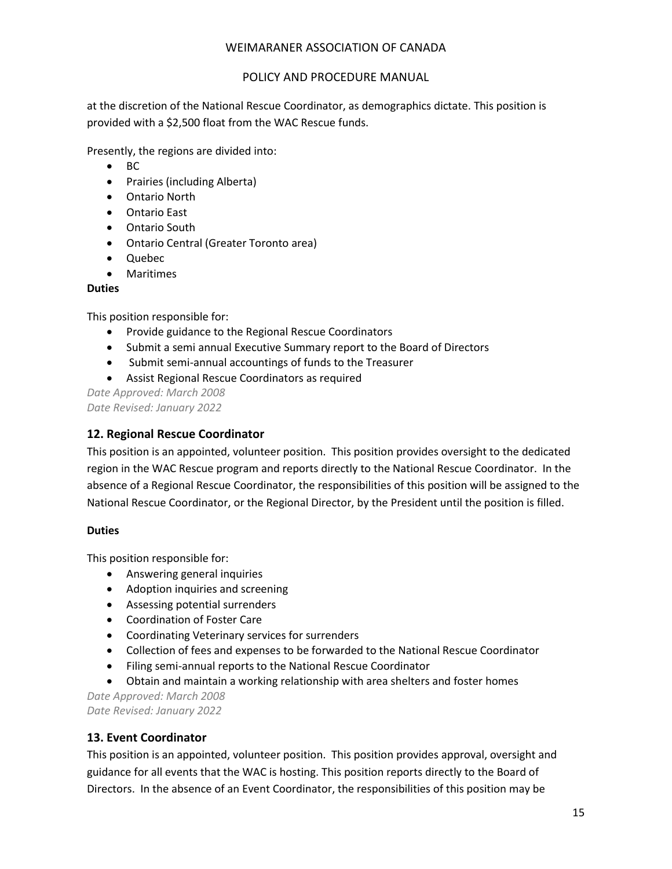#### POLICY AND PROCEDURE MANUAL

at the discretion of the National Rescue Coordinator, as demographics dictate. This position is provided with a \$2,500 float from the WAC Rescue funds.

Presently, the regions are divided into:

- BC
- Prairies (including Alberta)
- Ontario North
- Ontario East
- Ontario South
- Ontario Central (Greater Toronto area)
- Quebec
- Maritimes

#### **Duties**

This position responsible for:

- Provide guidance to the Regional Rescue Coordinators
- Submit a semi annual Executive Summary report to the Board of Directors
- Submit semi-annual accountings of funds to the Treasurer
- Assist Regional Rescue Coordinators as required

*Date Approved: March 2008 Date Revised: January 2022*

# <span id="page-14-0"></span>**12. Regional Rescue Coordinator**

This position is an appointed, volunteer position. This position provides oversight to the dedicated region in the WAC Rescue program and reports directly to the National Rescue Coordinator. In the absence of a Regional Rescue Coordinator, the responsibilities of this position will be assigned to the National Rescue Coordinator, or the Regional Director, by the President until the position is filled.

#### **Duties**

This position responsible for:

- Answering general inquiries
- Adoption inquiries and screening
- Assessing potential surrenders
- Coordination of Foster Care
- Coordinating Veterinary services for surrenders
- Collection of fees and expenses to be forwarded to the National Rescue Coordinator
- Filing semi-annual reports to the National Rescue Coordinator
- Obtain and maintain a working relationship with area shelters and foster homes

*Date Approved: March 2008 Date Revised: January 2022*

# <span id="page-14-1"></span>**13. Event Coordinator**

This position is an appointed, volunteer position. This position provides approval, oversight and guidance for all events that the WAC is hosting. This position reports directly to the Board of Directors. In the absence of an Event Coordinator, the responsibilities of this position may be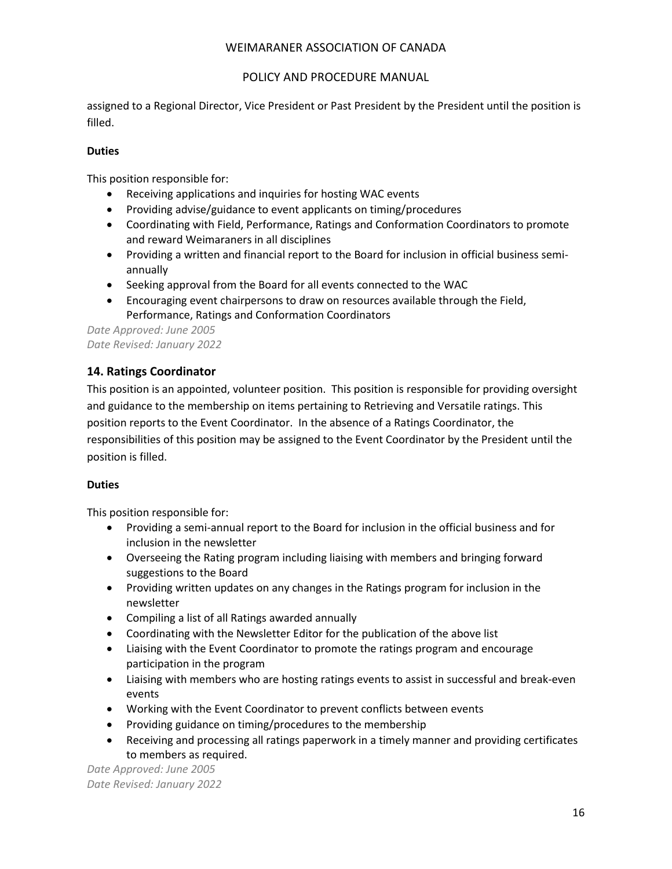# POLICY AND PROCEDURE MANUAL

assigned to a Regional Director, Vice President or Past President by the President until the position is filled.

### **Duties**

This position responsible for:

- Receiving applications and inquiries for hosting WAC events
- Providing advise/guidance to event applicants on timing/procedures
- Coordinating with Field, Performance, Ratings and Conformation Coordinators to promote and reward Weimaraners in all disciplines
- Providing a written and financial report to the Board for inclusion in official business semiannually
- Seeking approval from the Board for all events connected to the WAC
- Encouraging event chairpersons to draw on resources available through the Field, Performance, Ratings and Conformation Coordinators

*Date Approved: June 2005 Date Revised: January 2022*

# <span id="page-15-0"></span>**14. Ratings Coordinator**

This position is an appointed, volunteer position. This position is responsible for providing oversight and guidance to the membership on items pertaining to Retrieving and Versatile ratings. This position reports to the Event Coordinator. In the absence of a Ratings Coordinator, the responsibilities of this position may be assigned to the Event Coordinator by the President until the position is filled.

#### **Duties**

This position responsible for:

- Providing a semi-annual report to the Board for inclusion in the official business and for inclusion in the newsletter
- Overseeing the Rating program including liaising with members and bringing forward suggestions to the Board
- Providing written updates on any changes in the Ratings program for inclusion in the newsletter
- Compiling a list of all Ratings awarded annually
- Coordinating with the Newsletter Editor for the publication of the above list
- Liaising with the Event Coordinator to promote the ratings program and encourage participation in the program
- Liaising with members who are hosting ratings events to assist in successful and break-even events
- Working with the Event Coordinator to prevent conflicts between events
- Providing guidance on timing/procedures to the membership
- Receiving and processing all ratings paperwork in a timely manner and providing certificates to members as required.

*Date Approved: June 2005 Date Revised: January 2022*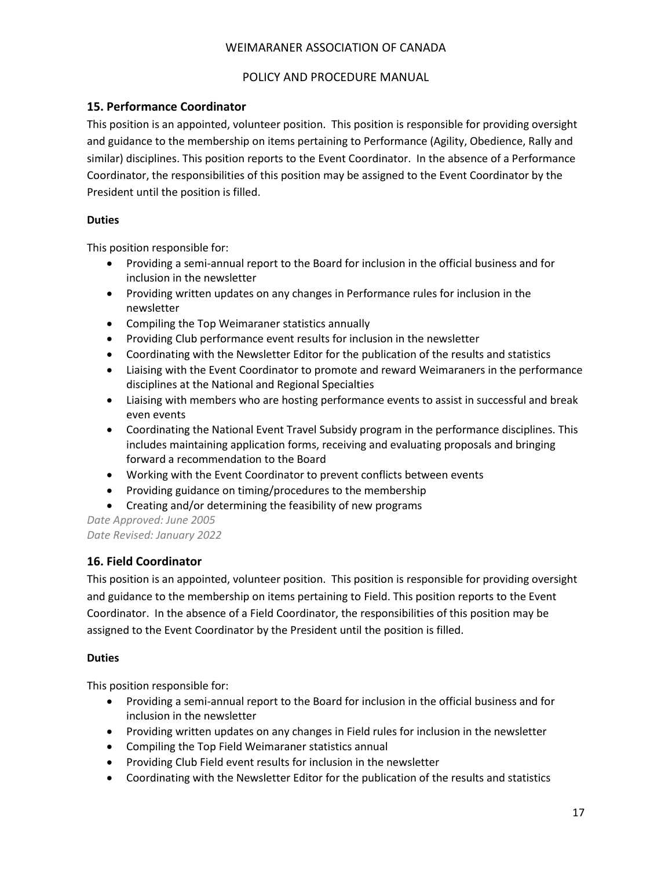### POLICY AND PROCEDURE MANUAL

# <span id="page-16-0"></span>**15. Performance Coordinator**

This position is an appointed, volunteer position. This position is responsible for providing oversight and guidance to the membership on items pertaining to Performance (Agility, Obedience, Rally and similar) disciplines. This position reports to the Event Coordinator. In the absence of a Performance Coordinator, the responsibilities of this position may be assigned to the Event Coordinator by the President until the position is filled.

#### **Duties**

This position responsible for:

- Providing a semi-annual report to the Board for inclusion in the official business and for inclusion in the newsletter
- Providing written updates on any changes in Performance rules for inclusion in the newsletter
- Compiling the Top Weimaraner statistics annually
- Providing Club performance event results for inclusion in the newsletter
- Coordinating with the Newsletter Editor for the publication of the results and statistics
- Liaising with the Event Coordinator to promote and reward Weimaraners in the performance disciplines at the National and Regional Specialties
- Liaising with members who are hosting performance events to assist in successful and break even events
- Coordinating the National Event Travel Subsidy program in the performance disciplines. This includes maintaining application forms, receiving and evaluating proposals and bringing forward a recommendation to the Board
- Working with the Event Coordinator to prevent conflicts between events
- Providing guidance on timing/procedures to the membership
- Creating and/or determining the feasibility of new programs

*Date Approved: June 2005 Date Revised: January 2022*

# <span id="page-16-1"></span>**16. Field Coordinator**

This position is an appointed, volunteer position. This position is responsible for providing oversight and guidance to the membership on items pertaining to Field. This position reports to the Event Coordinator. In the absence of a Field Coordinator, the responsibilities of this position may be assigned to the Event Coordinator by the President until the position is filled.

#### **Duties**

This position responsible for:

- Providing a semi-annual report to the Board for inclusion in the official business and for inclusion in the newsletter
- Providing written updates on any changes in Field rules for inclusion in the newsletter
- Compiling the Top Field Weimaraner statistics annual
- Providing Club Field event results for inclusion in the newsletter
- Coordinating with the Newsletter Editor for the publication of the results and statistics